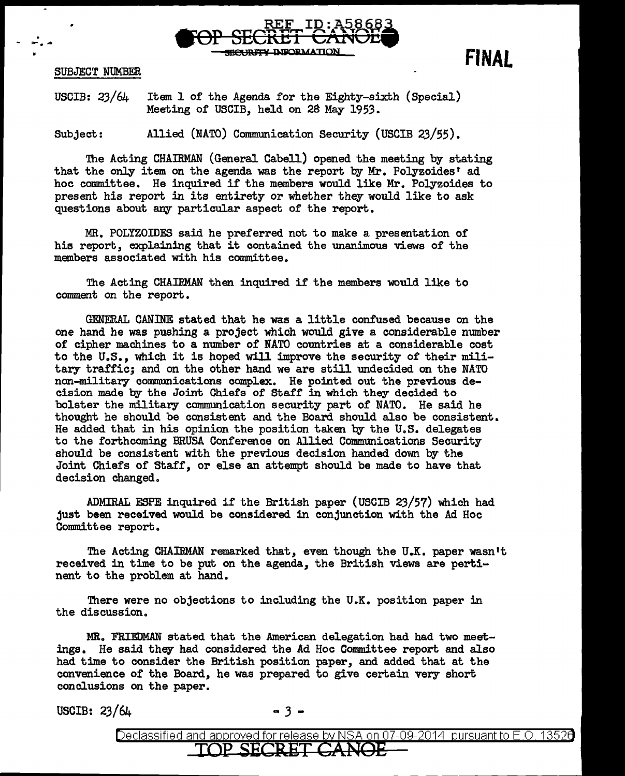

**FINAL** 

SUBJECT NUMBER

. - **:IP""** ...

USCIB: 23/64 Item 1 of the Agenda for the Eighty-sixth (Special) Meeting of USCIB, held on 2S May 1953.

Subject: Allied (NATO) Communication Security (USCIB 23/55).

The Acting CHAIRMAN (General Cabell) opened the meeting by stating that the only item on the agenda was the report by Mr. Polyzoides' ad hoc committee. He inquired if the members would like Mr. Polyzoides to present his report in its entirety or whether they would like to ask questions about any particular aspect of the report.

MR. POLYZOIDES said he preferred not to make a presentation of his report, explaining that it contained the unanimous views of the members associated with his committee.

The Acting CHAIRMAN then inquired if the members would like to comment on the report.

GENERAL CANINE stated that he was a little confused because on the one hand he was pushing a project which would give a considerable number of cipher machines to a number of NATO countries at a considerable cost to the U.S., which it is hoped will improve the security of their military traffic; and on the other hand we are still undecided on the NATO non-military communications complex. He pointed out the previous decision made by the Joint Chiefs of Staff in which they decided to bolster the military communication security part of NATO. He said he thought he should be consistent and the Board should also be consistent. He added that in his opinion the position taken by the U.S. delegates to the forthcoming BRUSA Conference on Allied Communications Security should be consistent with the previous decision handed down by the Joint Chiefs of Staff, or else an attempt should be made to have that decision changed.

ADMIRAL ESPE inquired if the British paper (USCIB 23/57) which had just been received would be considered in conjunction with the Ad Hoc Committee report.

The Acting CHAIRMAN remarked that, even though the U.K. paper wasn't received in time to be put on the agenda, the British views are pertinent to the problem at hand.

There were no objections to including the U.K. position paper in the discussion.

MR. FRIEDMAN stated that the American delegation had had two meetings. He said they had considered the Ad Hoc Committee report and also had time to consider the British position paper, and added that at the convenience of the Board, he was prepared to give certain very short conclusions on the paper.

USCIB:  $23/64$  - 3 -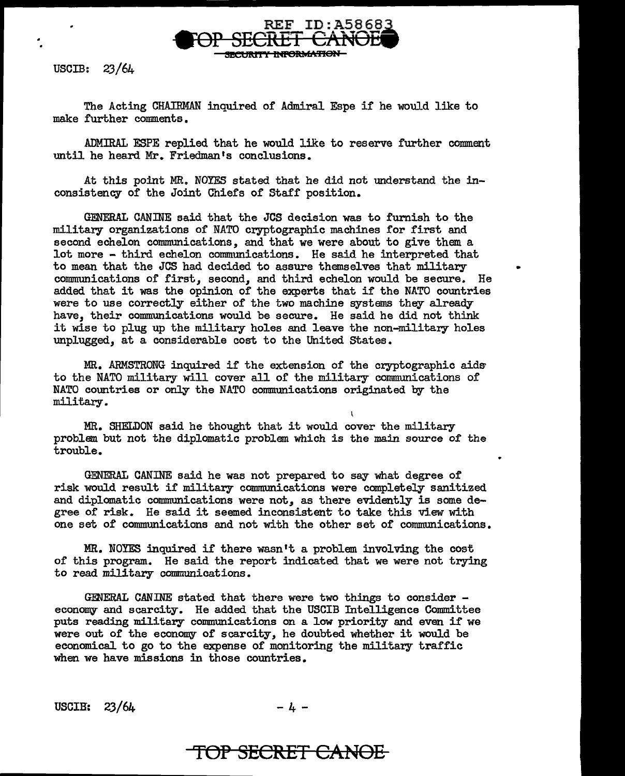

The Acting CHAIRMAN inquired of Admiral Espe if he would like to make further comments.

ADMIRAL ESPE replied that he would like to reserve further comment until he heard Mr. Friedman's conclusions.

At this point MR. NOYES stated that he did not understand the inconsistency of the Joint Chiefs of Staff position.

GENERAL CANINE said that the JCS decision was to furnish to the military organizations of NATO cryptographic machines for first and second echelon communications, and that we were about to give them a lot more - third echelon communications. He said he interpreted that to mean that the JCS had decided to assure themselves that military • communications of first, second, and third echelon would be secure. He added that it was the opinion of the experts that if the NATO countries were to use correctly either of the two machine systems they already have, their communications would be secure. He said he did not think it wise to plug up the military holes and leave the non-military holes unplugged, at a considerable cost to the United States.

MR. ARMSTRONG inquired if the extension of the cryptographic aids to the NATO military will cover all of the military communications of NATO countries or only the NATO communications originated by the military.

MR. SHELDON said he thought that it would cover the military problem. but not the diplomatic problem. which is the main source of the trouble.

\

GENERAL CANINE said he was not prepared to say what degree of risk would result if military communications were completely sanitized and diplomatic communications were not, as there evidently is some degree of risk. He said it seemed inconsistent to take this view with one set of communications and not with the other set of communications.

MR. NOYES inquired if there wasn't a problem involving the cost of this program.. He said the report indicated that we were not trying to read military communications.

GENERAL CANINE stated that there were two things to consider - economy and scarcity. He added that the USCIB Intelligence Committee puts reading military communications on a low priority and even if we were out of the economy of scarcity, he doubted whether it would be economical to go to the expense of monitoring the military traffic when we have missions in those countries.

USCIB:  $23/64$  -4-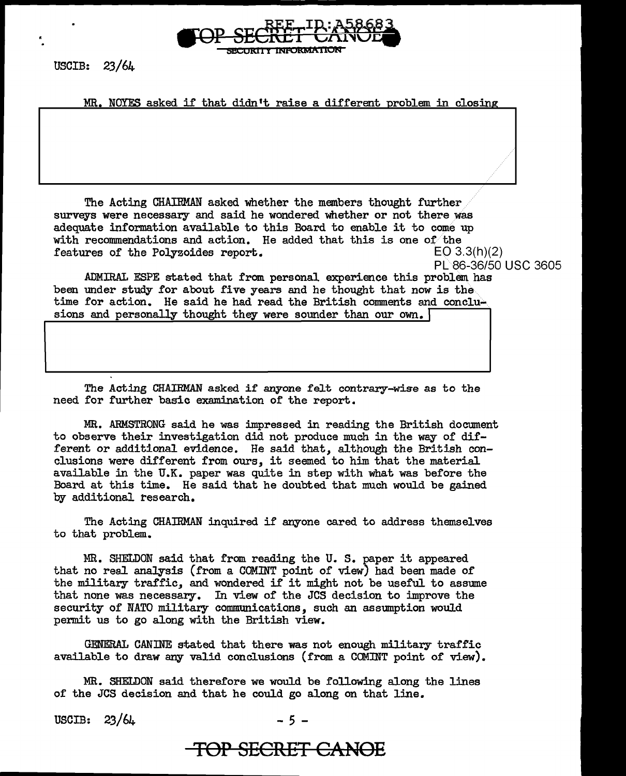

MR. NOYES asked if that didn't raise a different problem in closing

The Acting CHAIRMAN asked whether the members thought further surveys were necessary and said he wondered whether or not there was adequate information available to this Board to enable it to come up with recommendations and action. He added that this is one of the features of the Polyzoides report.  $EO 3.3(h)(2)$ features of the Polyzoides report.

PL 86-36/50 USC 3605

.ADMIRAL ESPE stated that from personal experience this problem has been under study for about five years and he thought that now is the time for action. He said he had read the British comments and conclusions and personally thought they were sounder than our own.

The Acting CHAIRMAN asked if anyone felt contrary-wise as to the need for further basic examination of the report.

MR. ARMSTRONG said he was impressed in reading the British document to observe their investigation did not produce much in the way of different or additional evidence. He said that, although the British conclusions were different from ours, it seemed to him that the material available in the U.K. paper was quite in step with what was before the Board at this time. He said that he doubted that much would be gained by additional research.

The Acting CHAIRMAN inquired if anyone cared to address themselves to that problem.

MR. SHELDON said that from reading the U. s. paper it appeared that no real analysis (from a COMINT point of view) had been made of the military traffic, and wondered if it might not be useful to assume that none was necessary. In view of the JCS decision to improve the security of NATO military communications, such an assumption would permit us to go along with the British view.

GENERAL CANINE stated that there was not enough military traffic available to draw any valid conclusions (from a COMINT point of view).

MR. SHELDON said therefore we would be following along the lines of the JCS decision and that he could go along on that line.

USCIB:  $23/64$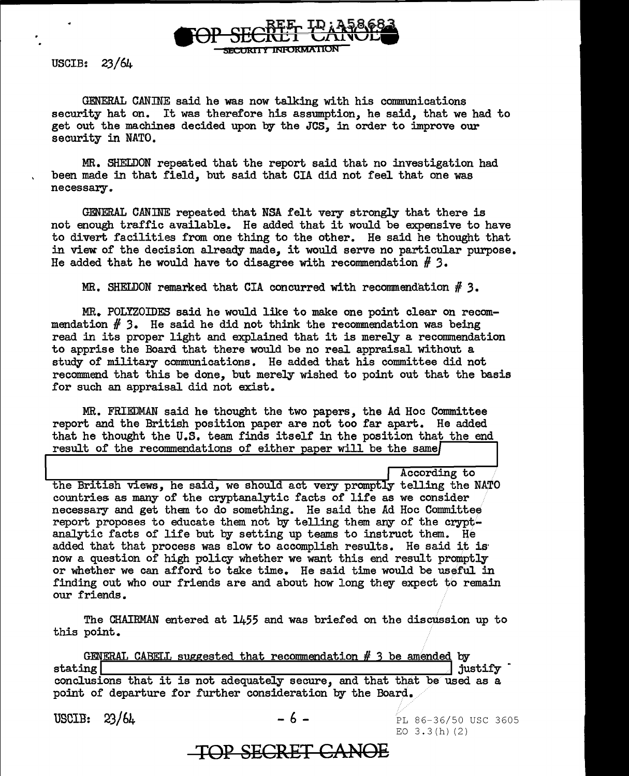

GENERAL CANINE said he was now talking with his communications security hat on. It was therefore his assumption, he said, that we had to get out the machines decided upon by the JCS, in order to improve our security in NATO.

MR. SHELDON repeated that the report said that no investigation had been made in that field, but said that CIA did not feel that one was necessary ..

GENERAL CANINE repeated that NSA felt very strongly that there is not enough traffic available. He added that it would be expensive to have to divert facilities from one thing to the other. He said he thought that in view of the decision already made, it would serve no particular purpose. He added that he would have to disagree with recommendation  $#$  3.

MR. SHELDON remarked that CIA concurred with recommendation # *3.* 

MR. POLyzOIDES said he would like to make one point clear on recommendation # *'3.* He said he did not think the reconmendation was being read in its proper light and explained that it is merely a recommendation to apprise the Board that there would be no real appraisal without a study of military communications. He added that his committee did not recommend that this be done, but merely wished to point out that the basis for such an appraisal did not exist.

MR. FRIEDMAN said he thought the two papers, the Ad Hoc Committee report and the British position paper are not too far apart. He added that he thought the U.S. team finds itself in the position that the end result of the recommendations of either paper will be the same

According to

the British views, he said, we should act very promptly telling the NATO countries as many of the cryptanalytic facts of life as we consider necessary and get them to do something. He said the Ad Hoc Committee report proposes to educate them not by telling them any of the cryptanalytic facts of life but by setting up teams to instruct them. He added that that process was slow to accomplish results. He said it is· now a question of high policy whether we want this end result promptly or whether we can afford to take time. He said time would be useful in finding out who our friends are and about how long they expect to remain our friends.

The CHAIRMAN entered at 1455 and was briefed on the discussion up to this point.

GENERAL CABELL suggested that recommendation # 3 be amended by  $\frac{1}{\text{statile}} \frac{1}{\text{d}\left(\frac{1}{\text{d}\left(\frac{1}{\text{d}\left(\frac{1}{\text{d}\left(\frac{1}{\text{d}\left(\frac{1}{\text{d}\left(\frac{1}{\text{d}\left(\frac{1}{\text{d}\left(\frac{1}{\text{d}\left(\frac{1}{\text{d}\left(\frac{1}{\text{d}\left(\frac{1}{\text{d}\left(\frac{1}{\text{d}\left(\frac{1}{\text{d}\left(\frac{1}{\text{d}\left(\frac{1}{\text{d}\left(\frac{1}{\text{d}\left(\frac{1}{\text{d}\left(\frac{1}{\text{d}\left$ stating | stating | stating | stating | stating | stating | stating | stating is not adequately secure, and that that be used as a point of departure for further consideration by the Board.

USCIB:  $23/64$  - 6 -

PL 86-36/50 USC 3605 EO  $3.3(h)$  (2)

**TOP SECRET CANOE**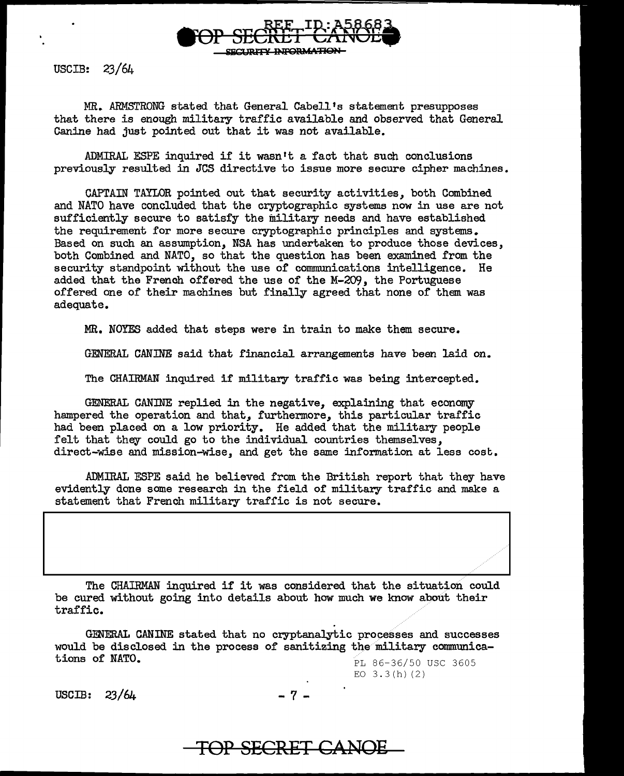

MR. ARMSTRONG stated that General Cabell's statement presupposes that there is enough military traffic available and observed that General Canine had just pointed out that it was not available.

ADMIRAL ESPE inquired if it wasn't a fact that such conclusions previously resulted in JCS directive to issue more secure cipher machines.

CAPTAIN TAYLOR pointed out that security activities, both Combined and NATO have concluded that the cryptographic systems now in use are not sufficiently secure to satisfy the military needs and have established the requirement for more secure cryptographic principles and systems. Based on such an assumption, NSA has undertaken to produce those devices, both Combined and NATO, so that the question has been examined from the security standpoint without the use of communications intelligence. He added that the French offered the use of the M-209, the Portuguese offered one of their machines but finally agreed that none of them was adequate.

MR. NOYES added that steps were in train to make them secure.

GENERAL CANINE said that financial arrangements have been laid on.

The CHAIRMAN inquired if military traffic was being intercepted.

GENERAL CANINE replied in the negative, explaining that economy hampered the operation and that, furthermore, this particular traffic had been placed on a low priority. He added that the military people felt that they could go to the individual countries themselves, direct-wise and mission-wise, and get the same information at less cosc.

ADMIRAL ESPE said he believed from the British report that they have evidently done some research in the field of military traffic and make a statement that French military traffic is not secure.

The CHAIRMAN inquired if it was considered that the situation could be cured without going into details about how much we know about their traffic.

GENERAL CANINE stated that no cryptanalytic processes and successes would be disclosed in the process of sanitizing the military communications of NATO. PL 86-36/50 USC 3605

EO  $3.3(h)$  (2)

USCIB:  $23/64$  - 7 -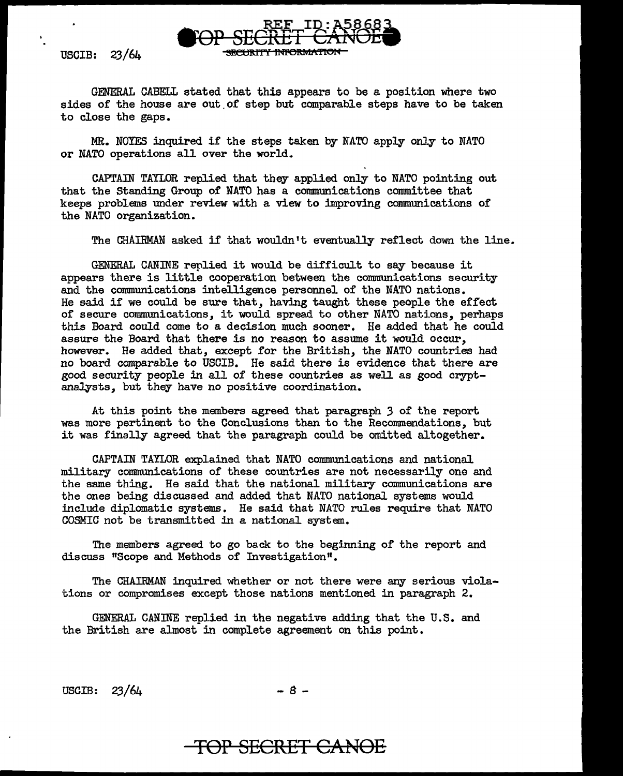GENERAL CABELL stated that this appears to be a position where two sides of the house are out of step but comparable steps have to be taken to close the gaps.

**SECURITY INFORMATION** 

MR. NOYES inquired if the steps taken by NATO apply only to NATO or NATO operations all over the world.

CAPTAIN TAYLOR replied that they applied only to NATO pointing out that the Standing Group of NATO has a communications committee that keeps problems under review with a view to improving communications of the NATO organization.

The CHAIBMAN asked if that wouldn't eventually reflect down the line.

GENERAL CANINE replied it would be difficult to say because it appears there is little cooperation between the communications security and the communications intelligence personnel of the NATO nations. He said if we could be sure that, having taught these people the effect of secure communications, it. would spread to other NATO nations, perhaps this Board could come to a decision much sooner. He added that he could assure the Board that there is no reason to assume it would occur, however. He added that, except for the British, the NATO countries had no board comparable to USCIB. He said there is evidence that there are good security people in all of these countries as well as good cryptanalysts, but they have no positive coordination.

At this point the members agreed that paragraph *3* of the report was more pertinent to the Conclusions than to the Recommendations, but it was finally agreed that the paragraph could be omitted altogether.

CAPTAIN TAYLOR explained that NATO communications and national military communications of these countries are not necessarily one and the same thing. He said that the national military communications are the ones being discussed and added that NATO national systems would include diplomatic systems. He said that NATO rules require that NATO COSMIC not be transmitted in a national system.

The members agreed to go back to the beginning of the report and discuss "Scope and Methods of Investigation".

The CHAIRMAN inquired whether or not there were any serious violations or compromises except those nations mentioned in paragraph 2.

GENERAL CANINE replied in the negative adding that the U.S. and the British are almost in complete agreement on this point.

 $\text{USCIB:} \quad 23/64 \quad -8 -$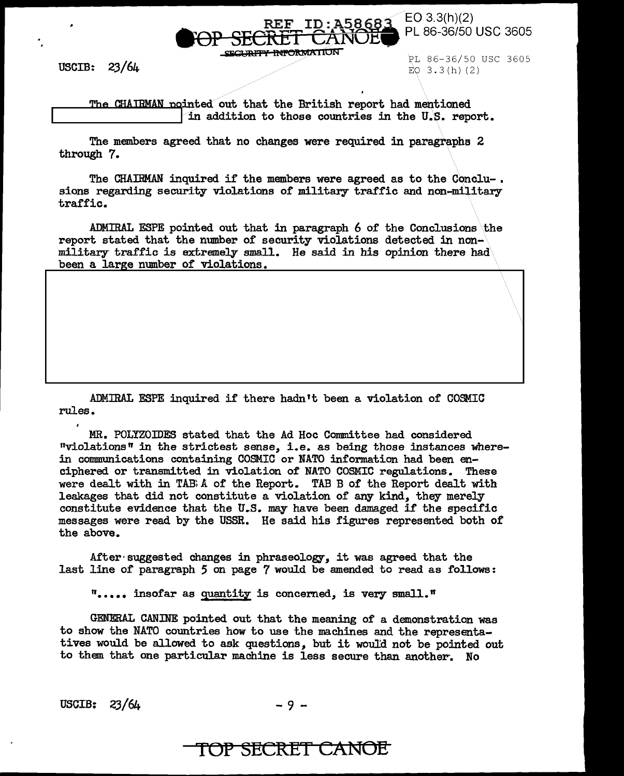

PL 86-36/50 USC 3605 EO 3.3(h) (2)

The CHAIRMAN pointed out that the British report had mentioned<br>in addition to those countries in the U.S. report.

The members agreed that no changes were required in paragraphs 2 through 7.

The CHAIRMAN inquired if the members were agreed as to the Conclu-.<br>sions regarding security violations of military traffic and non-military traffic.

ADMIRAL ESPE pointed out that in paragraph  $6$  of the Conclusions the report stated that the number of security violations detected in nonmilitary traffic is extremely small. He said in his opinion there had been a large number of violations.

ADMIRAL ESPE inquired if there hadn't been a violation or COSMIC rules.

MR. POtyzomEs stated that the Ad Hoc Committee had considered "violations" in the strictest sense, i.e. as being those instances wherein communications containing COSMIC or NATO information had been enciphered or transmitted in violation of NATO COSMIC regulations. These were dealt with in TAB: A of the Report. TAB B of the Report dealt with leakages that did not constitute a violation of any kind, they merely constitute evidence that the U.S. may have been damaged if the specific messages were read by the USSR. He said his figures represented both of the above.

After·suggested changes in phraseology, it was agreed that the last line of paragraph  $5$  on page  $7$  would be amended to read as follows:

"· •••• insofar as quantity is concemed, is very small."

GENERAL CANINE pointed out that the meaning of a demonstration was to show the NATO countries how to use the machines and the representatives would be allowed to ask questions, but it would not be pointed out to them that one particular machine is less secure than another-. No

 $USCIB: 23/64$  -9-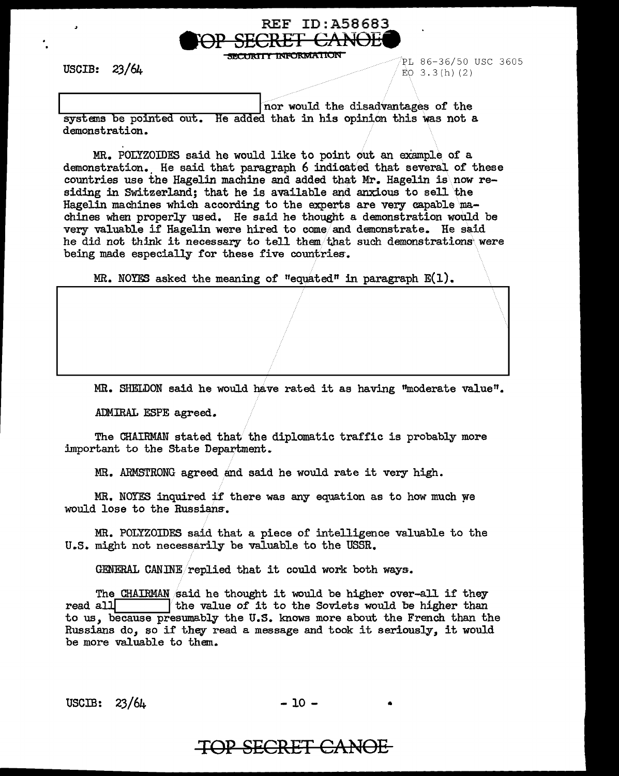

PL 86-36/50 USC 3605 EO 3.3(h) (2)

 $\lambda$  .

nor would the disadvantages of the systems be pointed out. He added that in his opinion this was not a demonstration.

MR. POLYZOIDES said he would like to point out an example of a demonstration.. He said that paragraph 6 indicated that several of these countries use the Hagelin machine and added that Mr. Hagelin is now residing in Switzerland; that he is available and anxious to sell the Hagelin machines which according to the experts are very capable  $ma$ chines when properly used. He said he thought a demonstration would be very valuable if Hagelin were hired to come/ and demonstrate. He said he did not think it necessary to tell them/that such demonstrations were being made especially for these five countries.

MR. NOYES asked the meaning of "equated" in paragraph  $E(1)$ .

MR. SHELDON said he would have rated it as having ''moderate value" •

ADMIRAL ESPE agreed.

The CHAIRMAN stated that the diplomatic traffic is probably more important to the State Department.

MR. ARMSTRONG agreed and said he would rate it very high.

MR. NOYES inquired if there was any equation as to how much we would lose to the Russians.

MR. POLYZOIDES said that a piece of intelligence valuable to the U.S. might not necessarily be valuable to the USSR.

GENERAL CANINE/replied that it could work both ways.

The CHAIRMAN said he thought it would be higher over-all if they read all  $\parallel$  the value of it to the Soviets would be higher than the value of it to the Soviets would be higher than to us, because presumably the U.S. knows more about the French than the Russians do, so if they read a message and took it seriously, it would be more valuable to them.

 $USCIB: 23/64$  - 10 -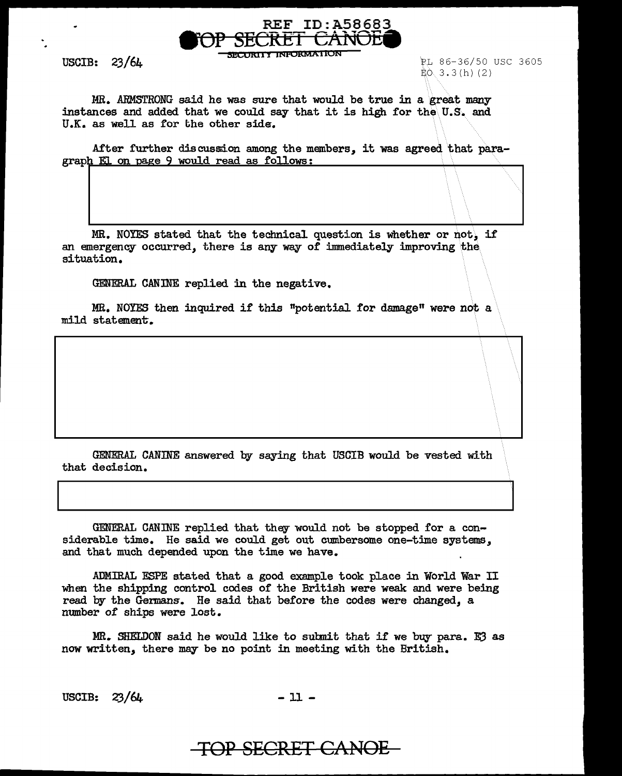

**SECOKIJ I INFORMAi iON** 

USCIB:  $23/64$ 

~L 86-36/50 USC 3605  $E$ O. 3.3 $(h)$  (2)

 $\mathcal{F}$ 

MR. ARMSTRONG said he was sure that would be true in a great many instances and added that we could say that it is high for the\ U.S. and U.K. as well as for the other side.

After further discussion among the members, it was agreed that paragraph El on page 9 would read as follows:

MR. NOYES stated that the technical question is whether or not, if an emergency occurred, there is any way of immediately improving the situation.

GENERAL CANINE replied in the negative.

MR. NOYES then inquired if this "potential for damage" were not a mild statement.

GENERAL CANINE answered by saying that USCIB would be vested with that decision.

GENERAL CANINE replied that they would not be stopped for a considerable time. He said we could get out cumbersome one-time systems, and that much depended upon the time we have.

ADMIRAL ESPE stated that a good example took place in World War II when the shipping control codes of the British were weak and were being read by the Gennans. He said that before the codes were changed, a number of ships were lost.

MR. SHELDON said he would like to subnit that if we buy para. E3 as now written, there may be no point in meeting with the British.

 $USCIB: 23/64. - 11 -$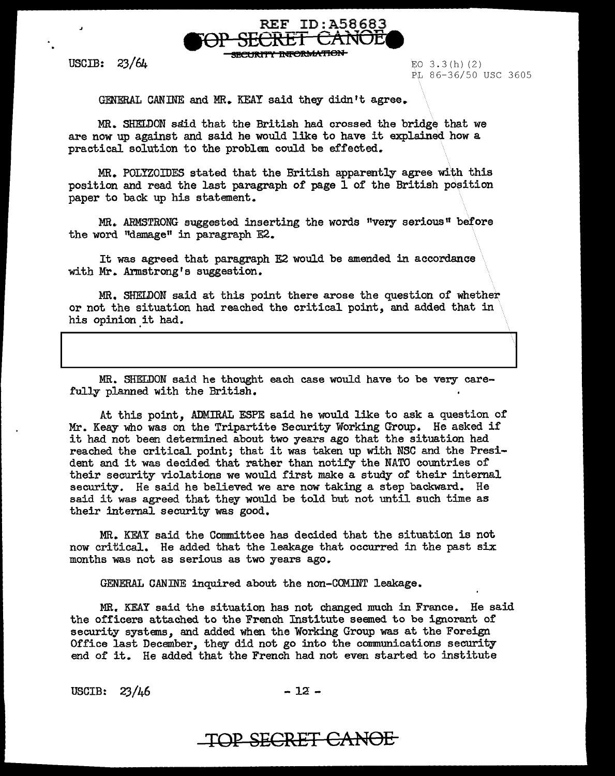

~"f'"t **tt4P6lt1Vt!r:'f'IOU** 

USCIB:  $23/64$  EO 3.3(h)(2)

PL 86-36/50 USC 3605

GENERAL CANINE and MR. KEAY said they didn't agree.

MR. SHELDON said that the British had crossed the bridge that we are now up against and said he would like to have it explained how a practical solution to the problem could be effected.

MR. Po1yzoIDES stated that the British apparently agree with this position and read the last paragraph of page 1 of the British position paper to back up his statement.

MR. ARMSTRONG suggested inserting the words "very serious" before the word "damage" in paragraph E2.

It was agreed that paragraph E2 would be amended in accordance with Mr. Armstrong's suggestion.

MR. SHELDON said at this point there arose the question of whether or not the situation had reached the critical point, and added that in his opinion it had.

MR. SHELDON said he thought each case would have to be very carefully planned with the British.

At this point, ADMIRAL ESPE said he would like to ask a question of Mr. Keay who was on the Tripartite Security Working Group. He asked if it had not been determined about two years ago that the situation had reached the critical point; that it was taken up with NSC and the President and it was decided that rather than notify the NATO countries of their security violations we would first make a study of their internal security. He said he believed we are now taking a step backward.. He said it was agreed that they would be told but not until such time as their internal security was good.

MR. KEAY said the Committee has decided that the situation is not now critical. He added that the leakage that occurred in the past six months was not as serious as two years ago.

GENERAL CANINE inquired about the non-COMINT leakage.

MR. KEAY said the situation has not changed much in France. He said the officers attached to the French Institute seemed to be ignorant of security systems, and added when the Working Group was at the Foreign Office last December, they did not go into the communications security end of it. He added that the French had not even started to institute

USCIB:  $23/46$  - 12 -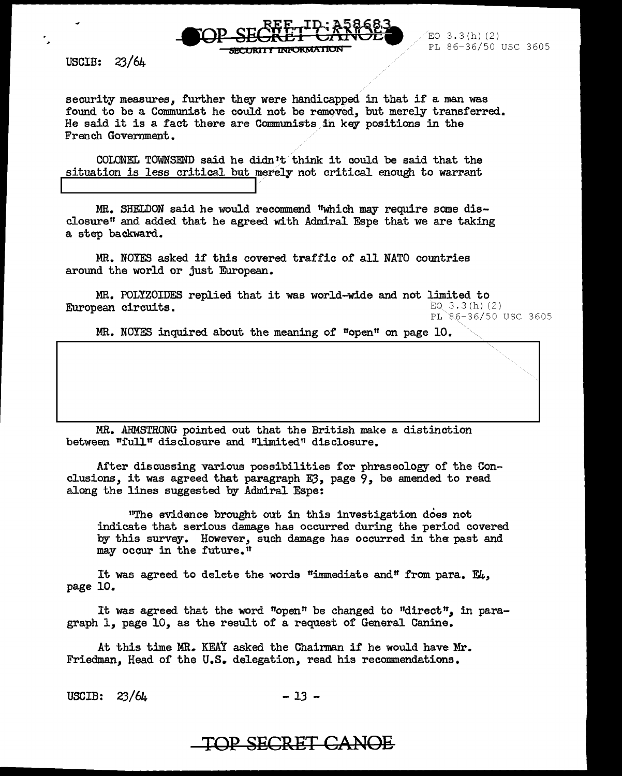

security measures, further they were handicapped in that if a man was found to be a Communist he could not be removed, but merely transferred. He said it is a fact there are Comrmmists in key positions in the French Government.

COLONEL TOWNSEND said he didn't think it could be said that the situation is less critical but merely not critical enough to warrant

MR. SHELDON said he would recommend "which may require some disclosure" and added that he agreed with Admiral Espe that we are taking a step backward.

MR. NOYES asked if this covered traffic of all NATO countries around the world or just European.

MR. POLYZOIDES replied that it was world-wide and not limited to  $_{\rm EQ=3.3\,(h)/(2)}$ European circuits.

PL 86-36/50 USC 3605

. · .. · .. · .. ·.

MR. NOYFS inquired about the meaning of "open" on page 10.

MR. ARMSTRONG pointed out that the British make a distinction between "full" disclosure and "limited" disclosure.

After discussing various possibilities for phraseology of the Conclusions, it was agreed that paragraph E3, page 9, be amended to read along the lines suggested by Admiral Espe:

"The evidence brought out in this investigation does not indicate that serious damage has occurred during the period covered by this survey. However, such damage has occurred in the past and may occur in the future.<sup>n</sup>

It was agreed to delete the words "immediate and" from para.  $E_{4}$ , page 10.

It was agreed that the word "open" be changed to "direct", in paragraph 1, page 10, as the result of a request of General Canine.

At this time MR. KEAY asked the Chairman if he would have Mr. Friedman, Head of the U.S. delegation, read his recommendations.

USCIB:  $23/64$  - 13 -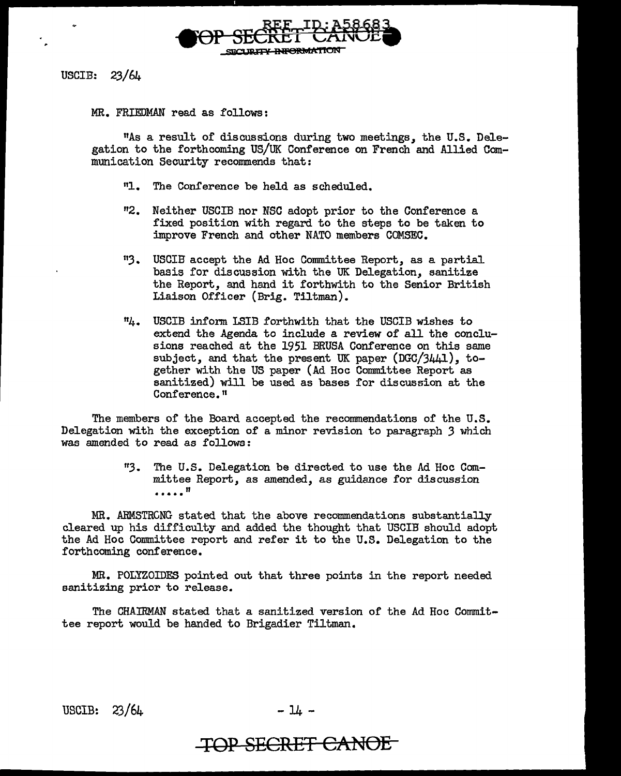

MR. FRIEDMAN read as follows:

nAs a result of discussions during two meetings, the U.S. Delegation to the forthcoming US/UK Conference on French and Allied Communication Security recommends that:

- "1. The Conference be held as scheduled.
- "2. Neither USCIB nor NSC adopt prior to the Conference a fixed position with regard to the steps to be taken to improve French and other NATO members COMSEC.
- "3. USCIB accept the Ad Hoc Committee Report, as a partial basis for discussion with the UK Delegation, sanitize the Report, and hand it forthwith to the Senior British Liaison Officer (Brig. Tiltman).
- 114. USCIB inform LSIB forthwith that the USCIB wishes to extend the Agenda to include a review of all the conclusions reached at the 1951 BRUSA Conference on this same subject, and that the present UK paper (DGC/3441), together with the US paper (Ad Hoc Committee Report as sanitized) will be used as bases for discussion at the Conference."

The members of the Board accepted the recommendations of the U.S. Delegation with the exception of a minor revision to paragraph 3 which was amended to read as follows:

> "3. The U.S. Delegation be directed to use the Ad Hoc Committee Report, as amended, as guidance for discussion .....<sup>11</sup>

MR. ARMSTRCNG stated that the above recommendations substantially cleared up his difficulty and added the thought that USCIB should adopt the Ad Hoc Committee report and refer it to the U.S. Delegation to the forthcoming conference.

MR. POLYZOIDES pointed out that three points in the report needed sanitizing prior to release.

The CHAIRMAN stated that a sanitized version of the Ad Hoc Committee report would be handed to Brigadier Tiltman.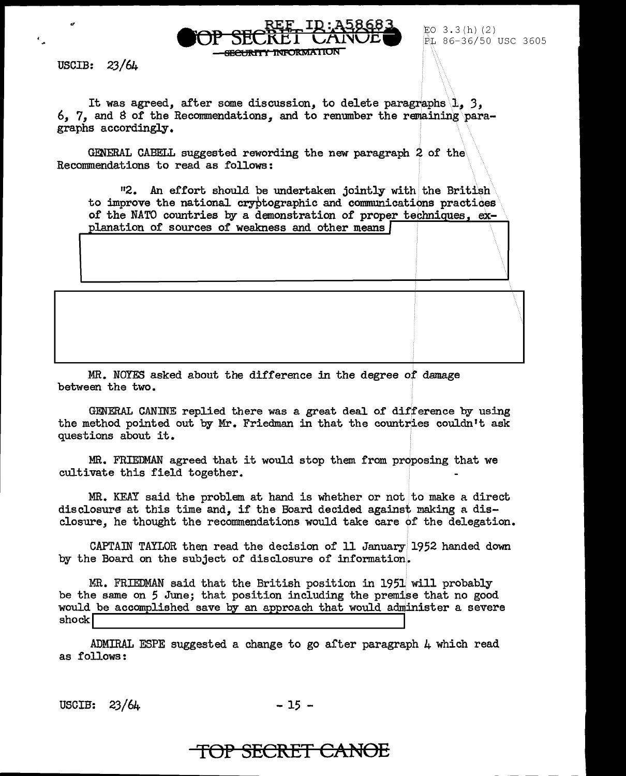USCIB:  $23/6\mu$ 

It was agreed, after some discussion, to delete paragraphs 1, 3, 6, 7, and 8 of the Recommendations, and to renumber the remaining\paragraphs accordingly.

SEeUR1'n 1WFORMAI ION

EO 3.3(h)(2)<br>PL 86-36/50 USC 3605

 $\langle\,\,\rangle$ 

 $\lambda$ 

GENERAL CABELL suggested rewording the new paragraph 2 of the Recommendations to read as follows:

 $112.$  An effort should be undertaken jointly with the British to improve the national cryptographic and communications practices to improve the hational dryptographic and communications practices<br>of the NATO countries by a demonstration of prope<u>r techniques, ex-</u> planation of sources of weakness and other means

MR. NOYES asked about the difference in the degree of damage between the two.

GENERAL CANINE replied there was a great deal of difference by using the method pointed out by Mr. Friedman in that the countries couldn't ask questions about it.

MR. FRIEDMAN agreed that it would stop them from proposing that we cultivate this field together.

 $MR.$  KEAY said the problem at hand is whether or not to make a direct disclosure at this time and, if the Board decided against making a disclosure, he thought the recommendations would take care of the delegation.

CAPTAIN TAYLOR then read the decision of 11 January 1952 handed down by the Board on the subject of disclosure of information.

MR. FRIEDMAN said that the British position in 1951 will probably be the same on 5 June; that position including the premise that no good would be accomplished save by an approach that would administer a severe shock is a completened save by an approach ones would domin-

ADMIRAL ESPE suggested a change to go after paragraph  $\mu$  which read as follows:

USCIB:  $23/64$  - 15 -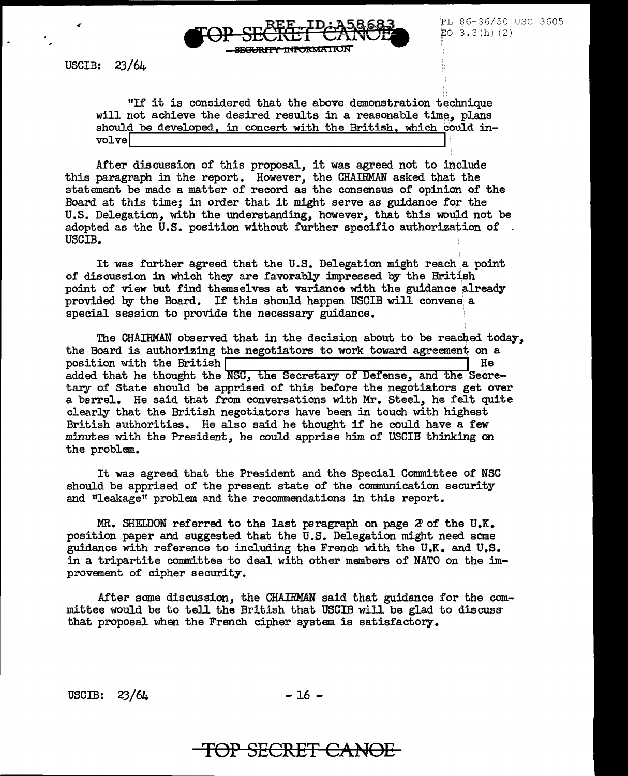

PL 86-36/50 USC 3605 EO  $3.3(h)$  (2)

"If it is considered that the above demonstration technique will not achieve the desired results in a reasonable time, plans should be developed, in concert with the British, which could involve

After discussion of this proposal, it was agreed not to include this paragraph in the report. However, the CHAIRMAN asked that the statement be made a matter of record as the consensus of opinion of the Board at this time; in order that it might serve as guidance for the U.S. Delegation, with the understanding, however, that this would not be adopted as the U.S. position without further specific authorization of. USCIB.

It was further agreed that the U.S. Delegation might reach a point of discussion in which they are favorably impressed by the British point of view but find themselves at variance with the guidance already provided by the Board. If this should happen USCIB will convene a special session to provide the necessary guidance,

The CHAIRMAN observed that in the decision about to be reached today, the Board is authorizing the negotiators to work toward agreement on a  $\sim$  position with the British  $\sim$  I He added that he thought the NSC, the Secretary of Defense, and the Secretary of State should be apprised of this before the negotiators get over a barrel. He said that from conversations with Mr. Steel, he felt quite clearly that the British negotiators have been in touch with highest British authorities. He also said he thought if he could have a few minutes with the President, he could apprise him of USCIB thinking on the problem.

It was agreed that the President and the Special Committee of NSC should be apprised of the present state of the communication security and "leakage" problem and the recommendations in this report.

MR. SHELDON referred to the last paragraph on page 2 of the U.K. position paper and suggested that the U.S. Delegation might need some guidance with reference to including the French with the U.K. and U.S. in a tripartite committee to deal with other members of NATO on the improvement of cipher security.

After some discussion, the CHAIRMAN said that guidance for the committee would be to tell the British that USCIB will be glad to discuss that proposal when the French cipher system is satisfactory.

 $\text{USCIB:} \quad 23/64$  -16 -